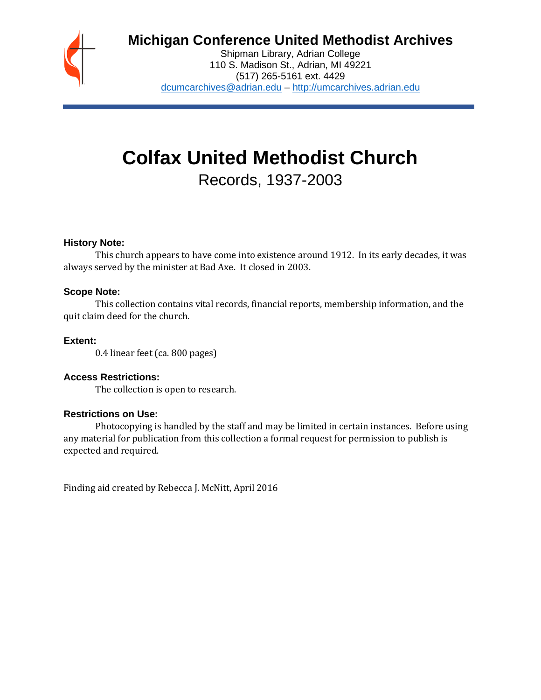

# **Michigan Conference United Methodist Archives**

Shipman Library, Adrian College 110 S. Madison St., Adrian, MI 49221 (517) 265-5161 ext. 4429 [dcumcarchives@adrian.edu](mailto:dcumcarchives@adrian.edu) – [http://umcarchives.adrian.edu](http://umcarchives.adrian.edu/)

# **Colfax United Methodist Church**

Records, 1937-2003

# **History Note:**

This church appears to have come into existence around 1912. In its early decades, it was always served by the minister at Bad Axe. It closed in 2003.

# **Scope Note:**

This collection contains vital records, financial reports, membership information, and the quit claim deed for the church.

# **Extent:**

0.4 linear feet (ca. 800 pages)

# **Access Restrictions:**

The collection is open to research.

#### **Restrictions on Use:**

Photocopying is handled by the staff and may be limited in certain instances. Before using any material for publication from this collection a formal request for permission to publish is expected and required.

Finding aid created by Rebecca J. McNitt, April 2016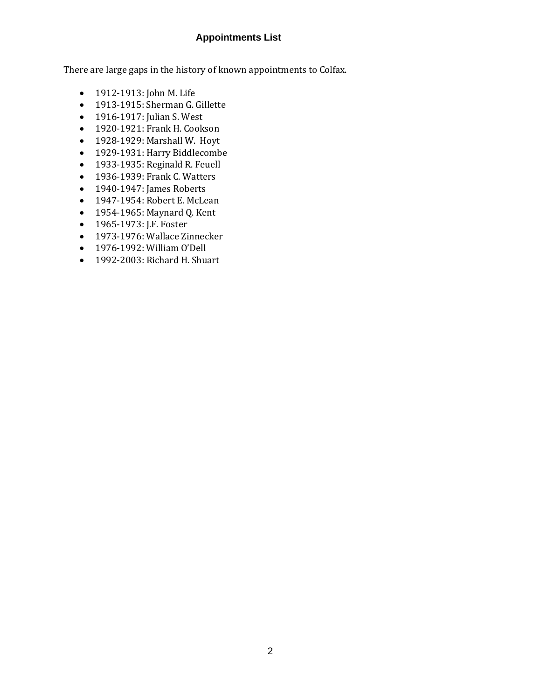# **Appointments List**

There are large gaps in the history of known appointments to Colfax.

- 1912-1913: John M. Life
- 1913-1915: Sherman G. Gillette
- 1916-1917: Julian S. West
- 1920-1921: Frank H. Cookson
- 1928-1929: Marshall W. Hoyt
- 1929-1931: Harry Biddlecombe
- 1933-1935: Reginald R. Feuell
- 1936-1939: Frank C. Watters
- 1940-1947: James Roberts
- 1947-1954: Robert E. McLean
- 1954-1965: Maynard Q. Kent
- 1965-1973: J.F. Foster
- 1973-1976: Wallace Zinnecker
- 1976-1992: William O'Dell
- 1992-2003: Richard H. Shuart